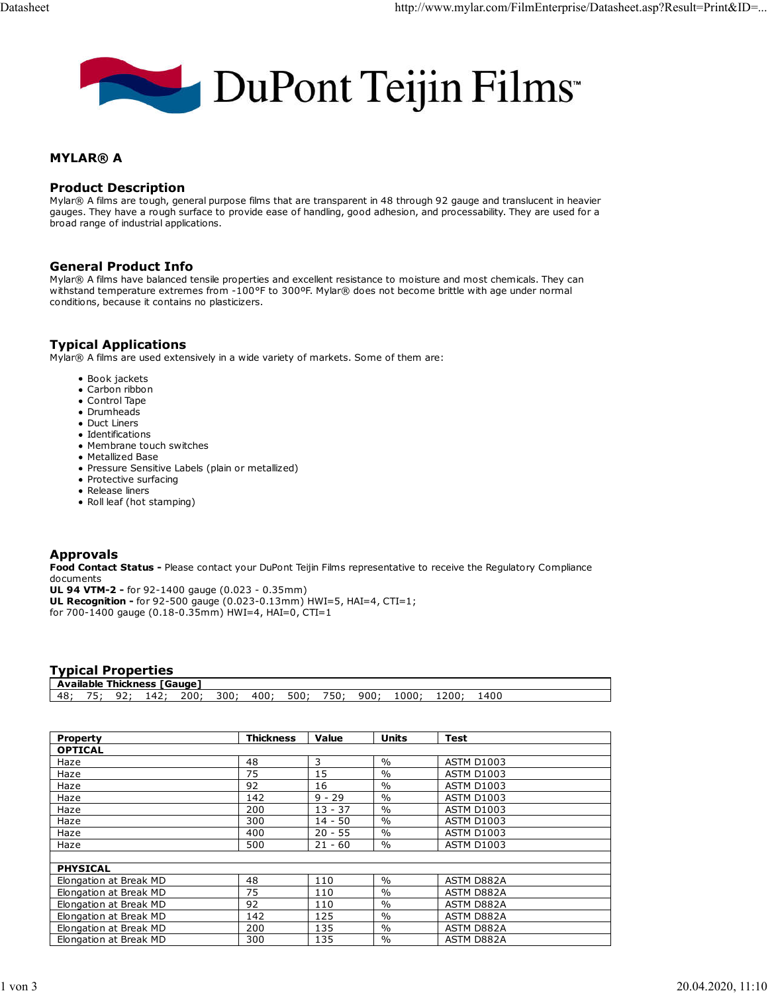

# MYLAR® A

#### Product Description

Mylar® A films are tough, general purpose films that are transparent in 48 through 92 gauge and translucent in heavier gauges. They have a rough surface to provide ease of handling, good adhesion, and processability. They are used for a broad range of industrial applications.

#### General Product Info

Mylar® A films have balanced tensile properties and excellent resistance to moisture and most chemicals. They can withstand temperature extremes from -100°F to 300ºF. Mylar® does not become brittle with age under normal conditions, because it contains no plasticizers.

# Typical Applications

Mylar® A films are used extensively in a wide variety of markets. Some of them are:

- Book jackets
- Carbon ribbon
- Control Tape
- Drumheads
- Duct Liners
- Identifications
- Membrane touch switches
- Metallized Base
- Pressure Sensitive Labels (plain or metallized)
- Protective surfacing
- Release liners
- Roll leaf (hot stamping)

## Approvals

Food Contact Status - Please contact your DuPont Teijin Films representative to receive the Regulatory Compliance documents

UL 94 VTM-2 - for 92-1400 gauge (0.023 - 0.35mm)

UL Recognition - for 92-500 gauge (0.023-0.13mm) HWI=5, HAI=4, CTI=1; for 700-1400 gauge (0.18-0.35mm) HWI=4, HAI=0, CTI=1

## Typical Properties

|    |         |   | <b>Available Thickness [Gauge]</b> |     |     |     |     |      |     |       |     |  |
|----|---------|---|------------------------------------|-----|-----|-----|-----|------|-----|-------|-----|--|
| 48 | -<br>-- | . | $\Delta$<br>ᆠᅮᄼ                    | 200 | 300 | 400 | 500 | 750: | 900 | -200: | 400 |  |

| <b>Property</b>        | <b>Thickness</b> | Value     | <b>Units</b>  | <b>Test</b>       |  |  |  |  |
|------------------------|------------------|-----------|---------------|-------------------|--|--|--|--|
| <b>OPTICAL</b>         |                  |           |               |                   |  |  |  |  |
| Haze                   | 48               | 3         | $\frac{0}{0}$ | <b>ASTM D1003</b> |  |  |  |  |
| Haze                   | 75               | 15        | $\frac{0}{0}$ | <b>ASTM D1003</b> |  |  |  |  |
| Haze                   | 92               | 16        | $\frac{0}{0}$ | <b>ASTM D1003</b> |  |  |  |  |
| Haze                   | 142              | $9 - 29$  | $\frac{0}{0}$ | <b>ASTM D1003</b> |  |  |  |  |
| Haze                   | 200              | $13 - 37$ | $\frac{0}{0}$ | <b>ASTM D1003</b> |  |  |  |  |
| Haze                   | 300              | $14 - 50$ | $\frac{0}{0}$ | <b>ASTM D1003</b> |  |  |  |  |
| Haze                   | 400              | $20 - 55$ | $\%$          | <b>ASTM D1003</b> |  |  |  |  |
| Haze                   | 500              | $21 - 60$ | $\%$          | <b>ASTM D1003</b> |  |  |  |  |
|                        |                  |           |               |                   |  |  |  |  |
| <b>PHYSICAL</b>        |                  |           |               |                   |  |  |  |  |
| Elongation at Break MD | 48               | 110       | $\frac{0}{0}$ | ASTM D882A        |  |  |  |  |
| Elongation at Break MD | 75               | 110       | $\frac{0}{0}$ | ASTM D882A        |  |  |  |  |
| Elongation at Break MD | 92               | 110       | $\frac{0}{0}$ | ASTM D882A        |  |  |  |  |
| Elongation at Break MD | 142              | 125       | $\frac{0}{0}$ | ASTM D882A        |  |  |  |  |
| Elongation at Break MD | 200              | 135       | $\frac{0}{0}$ | ASTM D882A        |  |  |  |  |
| Elongation at Break MD | 300              | 135       | $\frac{0}{0}$ | ASTM D882A        |  |  |  |  |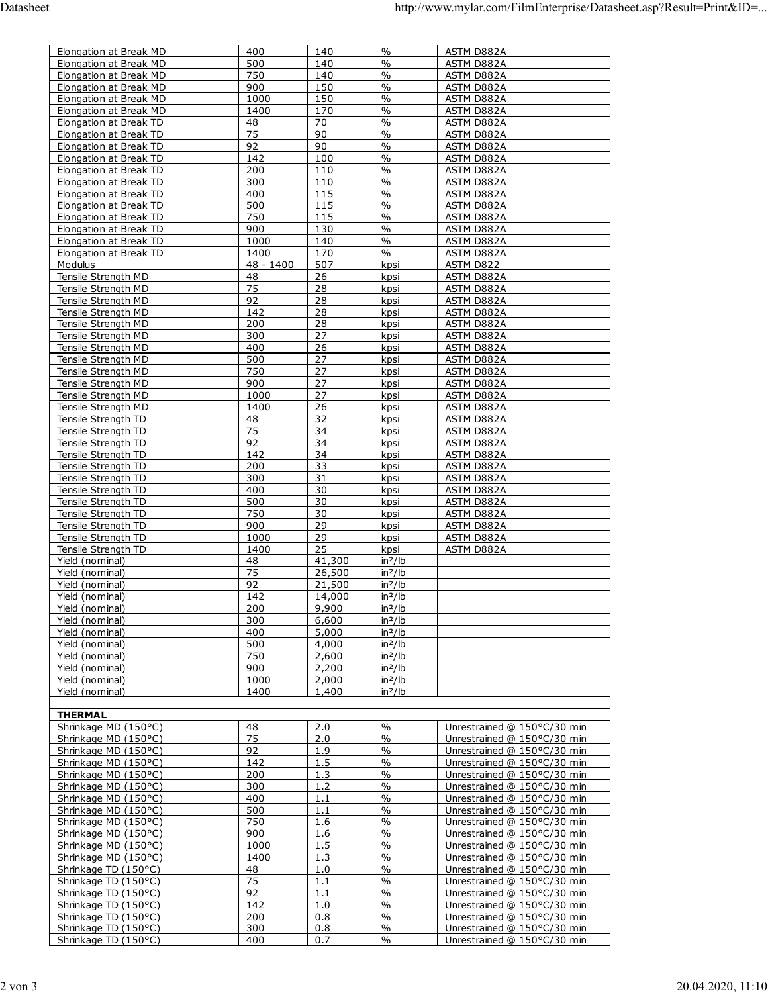| Elongation at Break MD                           | 400         | 140            | $\%$                           | ASTM D882A                                                 |
|--------------------------------------------------|-------------|----------------|--------------------------------|------------------------------------------------------------|
| Elongation at Break MD                           | 500         | 140            | $\frac{0}{0}$                  | ASTM D882A                                                 |
| Elongation at Break MD                           | 750         | 140            | $\frac{0}{0}$                  | ASTM D882A                                                 |
| Elongation at Break MD<br>Elongation at Break MD | 900<br>1000 | 150<br>150     | $\frac{0}{0}$<br>$\frac{0}{0}$ | ASTM D882A<br>ASTM D882A                                   |
| Elongation at Break MD                           | 1400        | 170            | $\frac{0}{0}$                  | ASTM D882A                                                 |
| Elongation at Break TD                           | 48          | 70             | $\frac{0}{0}$                  | ASTM D882A                                                 |
| Elongation at Break TD                           | 75          | 90             | $\frac{0}{0}$                  | <b>ASTM D882A</b>                                          |
| Elongation at Break TD                           | 92          | 90             | $\frac{0}{0}$                  | ASTM D882A                                                 |
| Elongation at Break TD                           | 142         | 100            | $\frac{0}{0}$                  | ASTM D882A                                                 |
| Elongation at Break TD                           | 200         | 110            | $\frac{0}{0}$                  | ASTM D882A                                                 |
| Elongation at Break TD<br>Elongation at Break TD | 300<br>400  | 110            | $\frac{0}{0}$<br>$\frac{0}{0}$ | <b>ASTM D882A</b><br>ASTM D882A                            |
| Elongation at Break TD                           | 500         | 115<br>115     | $\frac{0}{0}$                  | ASTM D882A                                                 |
| Elongation at Break TD                           | 750         | 115            | $\frac{0}{0}$                  | ASTM D882A                                                 |
| Elongation at Break TD                           | 900         | 130            | $\frac{0}{0}$                  | ASTM D882A                                                 |
| Elongation at Break TD                           | 1000        | 140            | $\frac{0}{0}$                  | ASTM D882A                                                 |
| Elongation at Break TD                           | 1400        | 170            | $\frac{0}{0}$                  | ASTM D882A                                                 |
| Modulus                                          | 48 - 1400   | 507            | kpsi                           | ASTM D822                                                  |
| Tensile Strength MD                              | 48          | 26             | kpsi                           | ASTM D882A                                                 |
| Tensile Strength MD<br>Tensile Strength MD       | 75<br>92    | 28<br>28       | kpsi<br>kpsi                   | ASTM D882A                                                 |
| Tensile Strength MD                              | 142         | 28             | kpsi                           | ASTM D882A<br><b>ASTM D882A</b>                            |
| Tensile Strength MD                              | 200         | 28             | kpsi                           | ASTM D882A                                                 |
| Tensile Strength MD                              | 300         | 27             | kpsi                           | ASTM D882A                                                 |
| Tensile Strength MD                              | 400         | 26             | kpsi                           | ASTM D882A                                                 |
| Tensile Strength MD                              | 500         | 27             | kpsi                           | ASTM D882A                                                 |
| Tensile Strength MD                              | 750         | 27             | kpsi                           | <b>ASTM D882A</b>                                          |
| Tensile Strength MD                              | 900         | 27             | kpsi                           | ASTM D882A                                                 |
| Tensile Strength MD                              | 1000        | 27             | kpsi                           | ASTM D882A                                                 |
| Tensile Strength MD<br>Tensile Strength TD       | 1400<br>48  | 26<br>32       | kpsi<br>kpsi                   | ASTM D882A<br>ASTM D882A                                   |
| Tensile Strength TD                              | 75          | 34             | kpsi                           | ASTM D882A                                                 |
| Tensile Strength TD                              | 92          | 34             | kpsi                           | ASTM D882A                                                 |
| Tensile Strength TD                              | 142         | 34             | kpsi                           | ASTM D882A                                                 |
| Tensile Strength TD                              | 200         | 33             | kpsi                           | ASTM D882A                                                 |
| Tensile Strength TD                              | 300         | 31             | kpsi                           | <b>ASTM D882A</b>                                          |
| Tensile Strength TD                              | 400         | 30             | kpsi                           | ASTM D882A                                                 |
| Tensile Strength TD                              | 500<br>750  | 30<br>30       | kpsi                           | ASTM D882A                                                 |
| Tensile Strength TD<br>Tensile Strength TD       | 900         | 29             | kpsi<br>kpsi                   | ASTM D882A<br>ASTM D882A                                   |
| Tensile Strength TD                              | 1000        | 29             | kpsi                           | ASTM D882A                                                 |
| <b>Tensile Strength TD</b>                       | 1400        | 25             | kpsi                           | ASTM D882A                                                 |
| Yield (nominal)                                  | 48          | 41,300         | $in^2/lb$                      |                                                            |
| Yield (nominal)                                  | 75          | 26,500         | $in^2/lb$                      |                                                            |
| Yield (nominal)                                  | 92          | 21,500         | $in^2/lb$                      |                                                            |
| Yield (nominal)                                  | 142         | 14,000         | $in^2/lb$                      |                                                            |
| Yield (nominal)<br>Yield (nominal)               | 200<br>300  | 9,900<br>6,600 | $in^2/lb$<br>$in^2/lb$         |                                                            |
| Yield (nominal)                                  | 400         | 5,000          | $in^2/lb$                      |                                                            |
| Yield (nominal)                                  | 500         | 4,000          | $in^2/lb$                      |                                                            |
| Yield (nominal)                                  | 750         | 2,600          | $in^2/lb$                      |                                                            |
| Yield (nominal)                                  | 900         | 2,200          | $in^2/lb$                      |                                                            |
| Yield (nominal)                                  | 1000        | 2,000          | $in^2/lb$                      |                                                            |
| Yield (nominal)                                  | 1400        | 1,400          | $in^2/lb$                      |                                                            |
|                                                  |             |                |                                |                                                            |
| <b>THERMAL</b><br>Shrinkage MD (150°C)           | 48          | 2.0            | $\%$                           | Unrestrained @ 150°C/30 min                                |
| Shrinkage MD (150°C)                             | 75          | 2.0            | $\frac{0}{0}$                  | Unrestrained @ 150°C/30 min                                |
| Shrinkage MD (150°C)                             | 92          | 1.9            | $\%$                           | Unrestrained @ 150°C/30 min                                |
| Shrinkage MD (150°C)                             | 142         | 1.5            | $\frac{0}{0}$                  | Unrestrained @ 150°C/30 min                                |
| Shrinkage MD (150°C)                             | 200         | 1.3            | $\frac{0}{0}$                  | Unrestrained @ 150°C/30 min                                |
| Shrinkage MD (150°C)                             | 300         | 1.2            | $\frac{0}{0}$                  | Unrestrained @ 150°C/30 min                                |
| Shrinkage MD (150°C)                             | 400         | 1.1            | $\%$                           | Unrestrained @ 150°C/30 min                                |
| Shrinkage MD (150°C)                             | 500         | 1.1            | $\%$                           | Unrestrained @ 150°C/30 min                                |
| Shrinkage MD (150°C)                             | 750         | 1.6            | $\frac{0}{0}$                  | Unrestrained @ 150°C/30 min                                |
| Shrinkage MD (150°C)<br>Shrinkage MD (150°C)     | 900<br>1000 | 1.6<br>1.5     | $\%$<br>$\frac{0}{0}$          | Unrestrained @ 150°C/30 min<br>Unrestrained @ 150°C/30 min |
| Shrinkage MD (150°C)                             | 1400        | 1.3            | $\%$                           | Unrestrained @ 150°C/30 min                                |
| Shrinkage TD (150°C)                             | 48          | 1.0            | $\frac{0}{0}$                  | Unrestrained @ 150°C/30 min                                |
| Shrinkage TD (150°C)                             | 75          | 1.1            | $\frac{0}{0}$                  | Unrestrained @ 150°C/30 min                                |
| Shrinkage TD (150°C)                             | 92          | 1.1            | $\frac{0}{0}$                  | Unrestrained @ 150°C/30 min                                |
| Shrinkage TD (150°C)                             | 142         | 1.0            | $\frac{0}{0}$                  | Unrestrained @ 150°C/30 min                                |
| Shrinkage TD (150°C)                             | 200         | 0.8            | $\%$                           | Unrestrained @ 150°C/30 min                                |
| Shrinkage TD (150°C)<br>Shrinkage TD (150°C)     | 300<br>400  | 0.8<br>0.7     | $\frac{0}{0}$<br>$\%$          | Unrestrained @ 150°C/30 min<br>Unrestrained @ 150°C/30 min |
|                                                  |             |                |                                |                                                            |